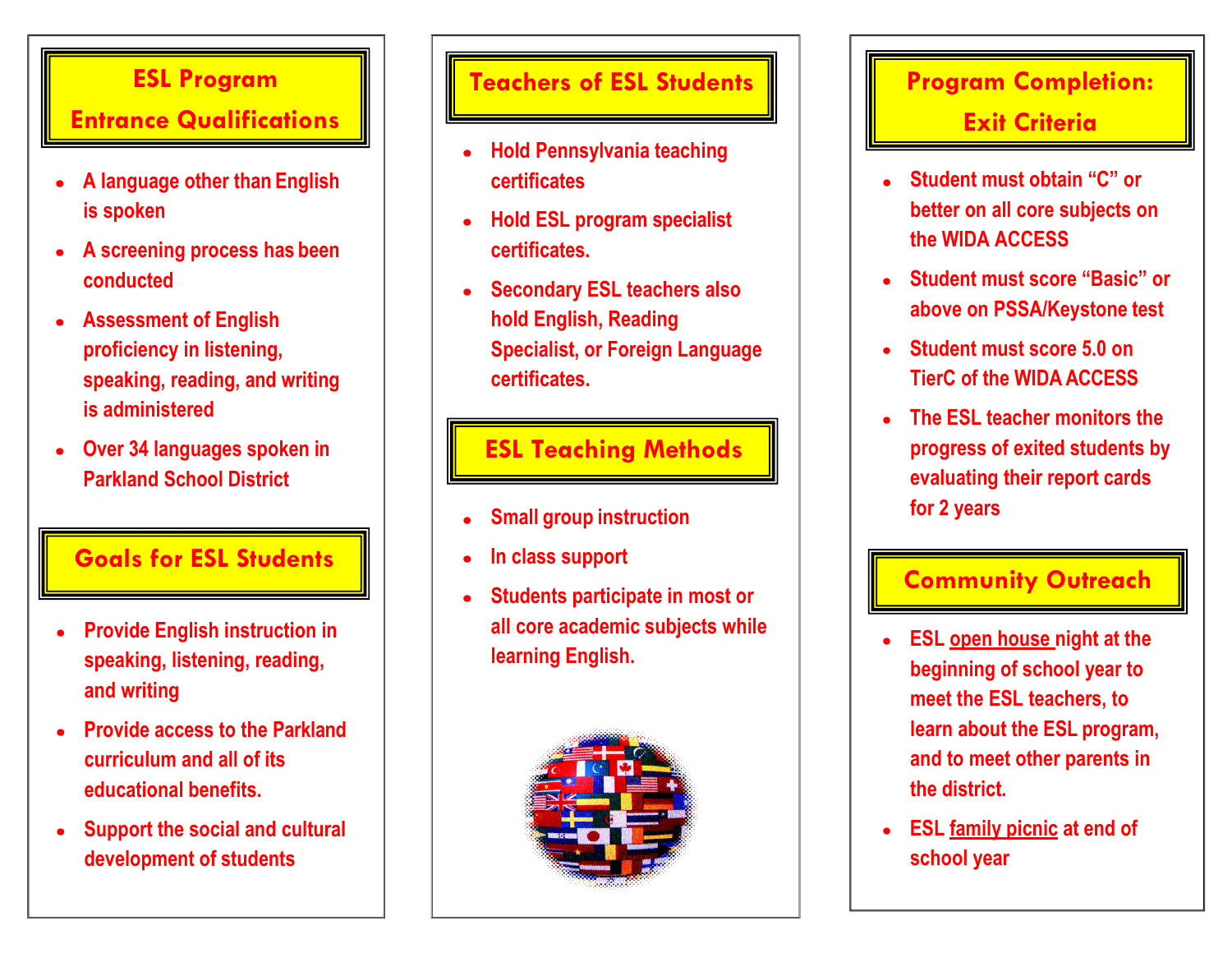## **ESL Program**

# **Entrance Qualifications**

- **A language other than English**   $\bullet$ **is spoken**
- **A screening process has been**   $\bullet$ **conducted**
- **Assessment of English proficiency in listening, speaking, reading, and writing is administered**
- **Over 34 languages spoken in**   $\bullet$ **Parkland School District**

### **Goals for ESL Students**

- **Provide English instruction in**   $\bullet$ **speaking, listening, reading, and writing**
- **Provide access to the Parkland curriculum and all of its educational benefits.**
- **Support the social and cultural**   $\bullet$ **development of students**

### **Teachers of ESL Students**

- **Hold Pennsylvania teaching certificates**
- **Hold ESL program specialist certificates.**
- **Secondary ESL teachers also hold English, Reading Specialist, or Foreign Language certificates.**

### **ESL Teaching Methods**

- **Small group instruction**   $\bullet$
- **In class support**
- **Students participate in most or all core academic subjects while learning English.**



# **Program Completion: Exit Criteria**

- **Student must obtain "C" or better on all core subjects on the WIDA ACCESS**
- **Student must score "Basic" or above on PSSA/Keystone test**
- **Student must score 5.0 on TierC of the WIDA ACCESS**
- **The ESL teacher monitors the progress of exited students by evaluating their report cards for 2 years**

### **Community Outreach**

- **ESL open house night at the beginning of school year to meet the ESL teachers, to learn about the ESL program, and to meet other parents in the district.**
- **ESL family picnic at end of school year**